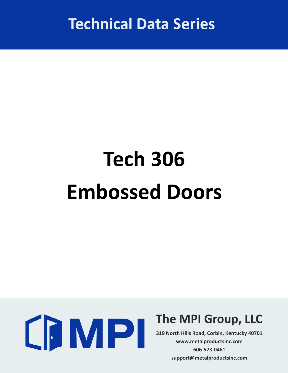**Technical Data Series**

# **Tech 306 Embossed Doors**



### **The MPI Group, LLC**

**319 North Hills Road, Corbin, Kentucky 40701 www.metalproductsinc.com 606‐523‐0461 support@metalproductsinc.com**